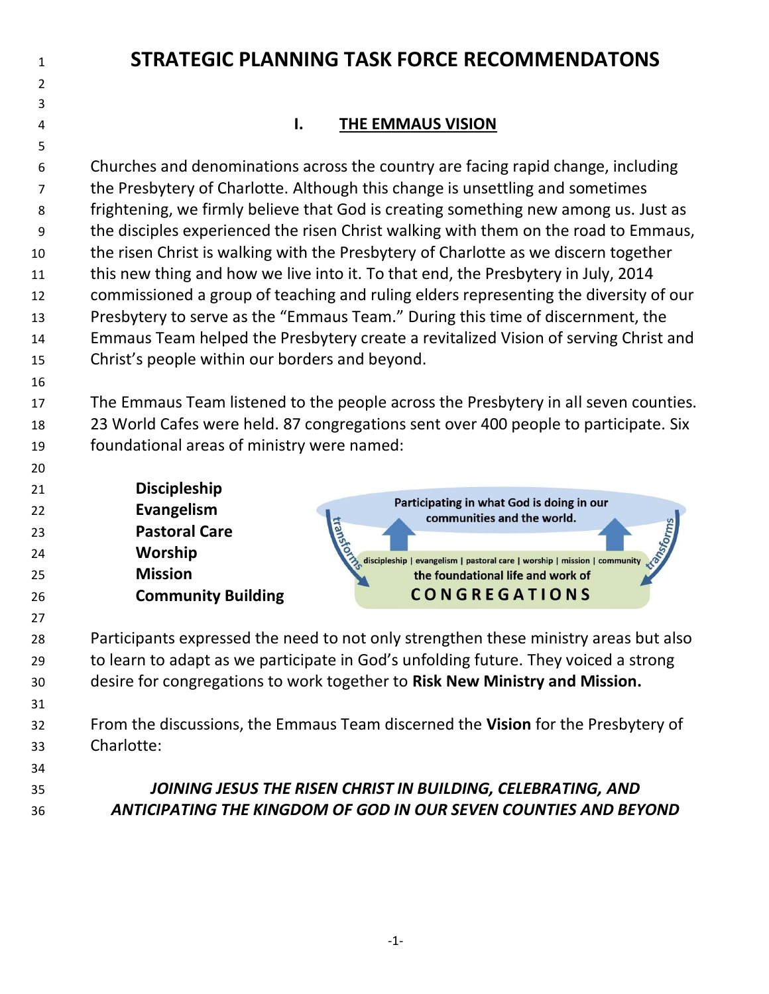# 

## **STRATEGIC PLANNING TASK FORCE RECOMMENDATONS**

## **I. THE EMMAUS VISION**

 Churches and denominations across the country are facing rapid change, including the Presbytery of Charlotte. Although this change is unsettling and sometimes frightening, we firmly believe that God is creating something new among us. Just as the disciples experienced the risen Christ walking with them on the road to Emmaus, the risen Christ is walking with the Presbytery of Charlotte as we discern together this new thing and how we live into it. To that end, the Presbytery in July, 2014 commissioned a group of teaching and ruling elders representing the diversity of our Presbytery to serve as the "Emmaus Team." During this time of discernment, the Emmaus Team helped the Presbytery create a revitalized Vision of serving Christ and Christ's people within our borders and beyond.

 The Emmaus Team listened to the people across the Presbytery in all seven counties. 23 World Cafes were held. 87 congregations sent over 400 people to participate. Six foundational areas of ministry were named:

- **Discipleship** Participating in what God is doing in our **Evangelism** communities and the world. **Pastoral Care Worship**  discipleship | evangelism | pastoral care | worship | mission | community **Mission**  the foundational life and work of **CONGREGATIONS Community Building**
- Participants expressed the need to not only strengthen these ministry areas but also to learn to adapt as we participate in God's unfolding future. They voiced a strong desire for congregations to work together to **Risk New Ministry and Mission.**
- From the discussions, the Emmaus Team discerned the **Vision** for the Presbytery of Charlotte:
- 

 *JOINING JESUS THE RISEN CHRIST IN BUILDING, CELEBRATING, AND ANTICIPATING THE KINGDOM OF GOD IN OUR SEVEN COUNTIES AND BEYOND*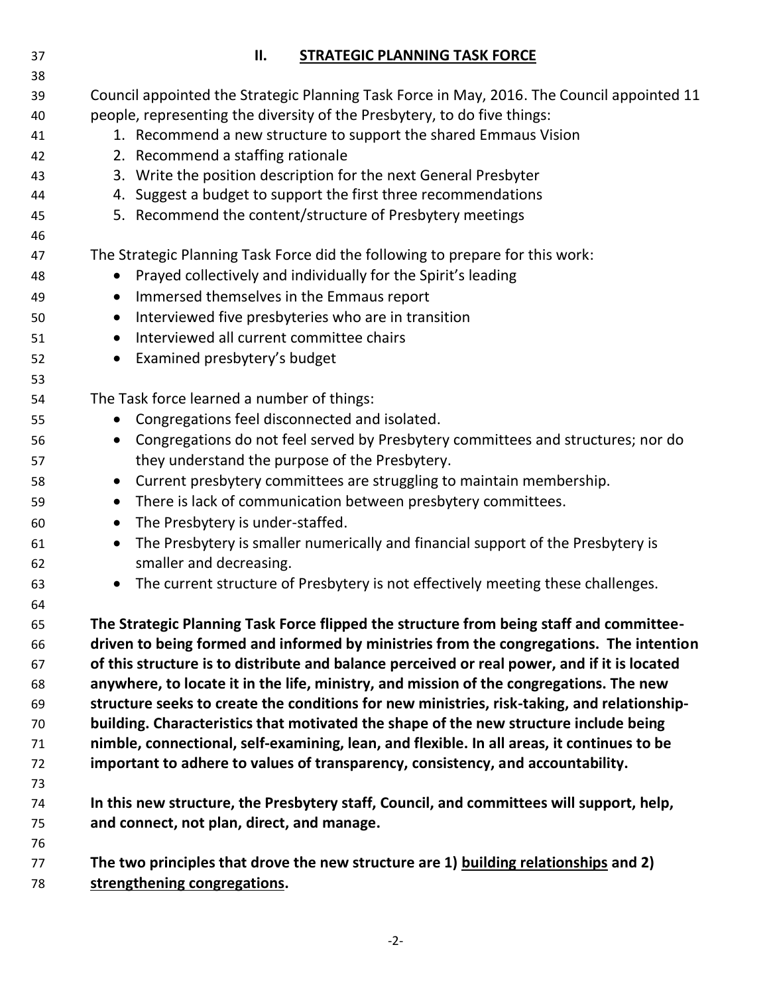| 38       |                                                                                                              |  |
|----------|--------------------------------------------------------------------------------------------------------------|--|
| 39       | Council appointed the Strategic Planning Task Force in May, 2016. The Council appointed 11                   |  |
| 40       | people, representing the diversity of the Presbytery, to do five things:                                     |  |
| 41       | 1. Recommend a new structure to support the shared Emmaus Vision                                             |  |
| 42       | 2. Recommend a staffing rationale                                                                            |  |
| 43       | 3. Write the position description for the next General Presbyter                                             |  |
| 44       | 4. Suggest a budget to support the first three recommendations                                               |  |
| 45       | 5. Recommend the content/structure of Presbytery meetings                                                    |  |
| 46       |                                                                                                              |  |
| 47       | The Strategic Planning Task Force did the following to prepare for this work:<br>$\bullet$                   |  |
| 48       | Prayed collectively and individually for the Spirit's leading                                                |  |
| 49       | Immersed themselves in the Emmaus report<br>$\bullet$                                                        |  |
| 50       | Interviewed five presbyteries who are in transition<br>$\bullet$<br>Interviewed all current committee chairs |  |
| 51       | $\bullet$                                                                                                    |  |
| 52<br>53 | Examined presbytery's budget<br>$\bullet$                                                                    |  |
| 54       | The Task force learned a number of things:                                                                   |  |
| 55       | Congregations feel disconnected and isolated.<br>$\bullet$                                                   |  |
| 56       | Congregations do not feel served by Presbytery committees and structures; nor do<br>$\bullet$                |  |
| 57       | they understand the purpose of the Presbytery.                                                               |  |
| 58       | • Current presbytery committees are struggling to maintain membership.                                       |  |
| 59       | There is lack of communication between presbytery committees.<br>$\bullet$                                   |  |
| 60       | The Presbytery is under-staffed.<br>$\bullet$                                                                |  |
| 61       | The Presbytery is smaller numerically and financial support of the Presbytery is<br>$\bullet$                |  |
| 62       | smaller and decreasing.                                                                                      |  |
| 63       | The current structure of Presbytery is not effectively meeting these challenges.<br>$\bullet$                |  |
| 64       |                                                                                                              |  |
| 65       | The Strategic Planning Task Force flipped the structure from being staff and committee-                      |  |
| 66       | driven to being formed and informed by ministries from the congregations. The intention                      |  |
| 67       | of this structure is to distribute and balance perceived or real power, and if it is located                 |  |
| 68       | anywhere, to locate it in the life, ministry, and mission of the congregations. The new                      |  |
| 69       | structure seeks to create the conditions for new ministries, risk-taking, and relationship-                  |  |
| 70       | building. Characteristics that motivated the shape of the new structure include being                        |  |
| 71       | nimble, connectional, self-examining, lean, and flexible. In all areas, it continues to be                   |  |
| 72       | important to adhere to values of transparency, consistency, and accountability.                              |  |
| 73       |                                                                                                              |  |
| 74       | In this new structure, the Presbytery staff, Council, and committees will support, help,                     |  |
| 75       | and connect, not plan, direct, and manage.                                                                   |  |
| 76       |                                                                                                              |  |
| 77       | The two principles that drove the new structure are 1) building relationships and 2)                         |  |
| 78       | strengthening congregations.                                                                                 |  |

**II. STRATEGIC PLANNING TASK FORCE**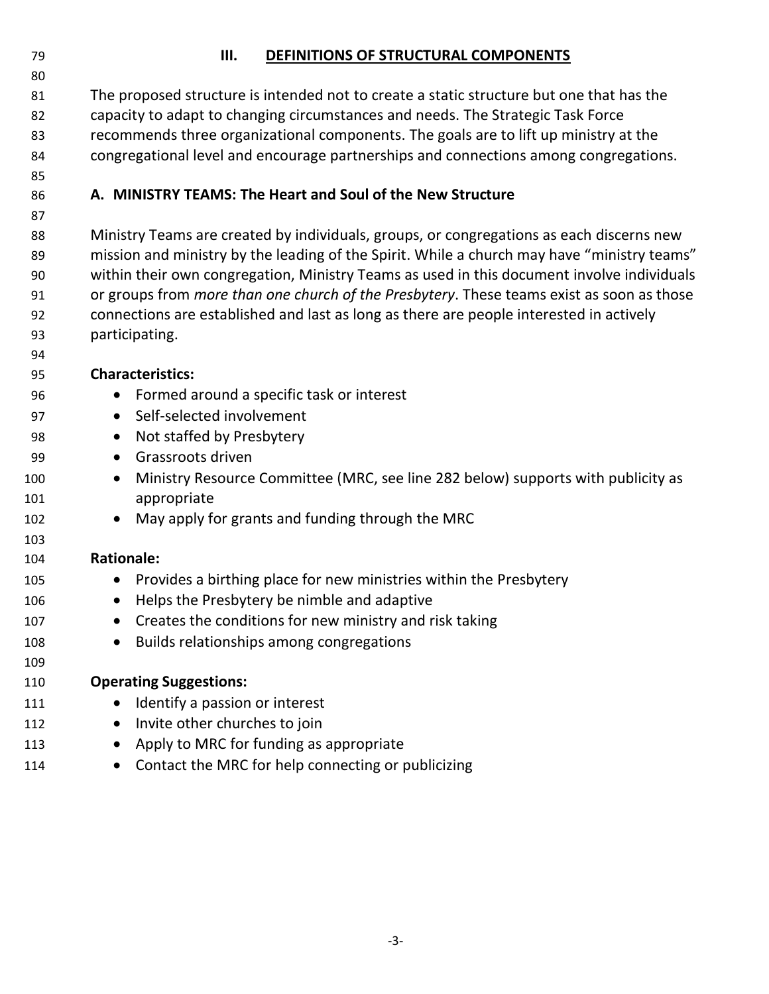## **III. DEFINITIONS OF STRUCTURAL COMPONENTS**

 The proposed structure is intended not to create a static structure but one that has the capacity to adapt to changing circumstances and needs. The Strategic Task Force recommends three organizational components. The goals are to lift up ministry at the congregational level and encourage partnerships and connections among congregations.

## **A. MINISTRY TEAMS: The Heart and Soul of the New Structure**

 Ministry Teams are created by individuals, groups, or congregations as each discerns new 89 mission and ministry by the leading of the Spirit. While a church may have "ministry teams" within their own congregation, Ministry Teams as used in this document involve individuals or groups from *more than one church of the Presbytery*. These teams exist as soon as those connections are established and last as long as there are people interested in actively participating.

#### **Characteristics:**

- Formed around a specific task or interest
- 97 Self-selected involvement
- 98 Not staffed by Presbytery
- Grassroots driven
- 100 Ministry Resource Committee (MRC, see line 282 below) supports with publicity as appropriate
- 102 May apply for grants and funding through the MRC

#### **Rationale:**

- 105 Provides a birthing place for new ministries within the Presbytery
- 106 Helps the Presbytery be nimble and adaptive
- 107 Creates the conditions for new ministry and risk taking
- 108 Builds relationships among congregations

## **Operating Suggestions:**

- 111 Identify a passion or interest
- 112 Invite other churches to join
- 113 Apply to MRC for funding as appropriate
- 114 Contact the MRC for help connecting or publicizing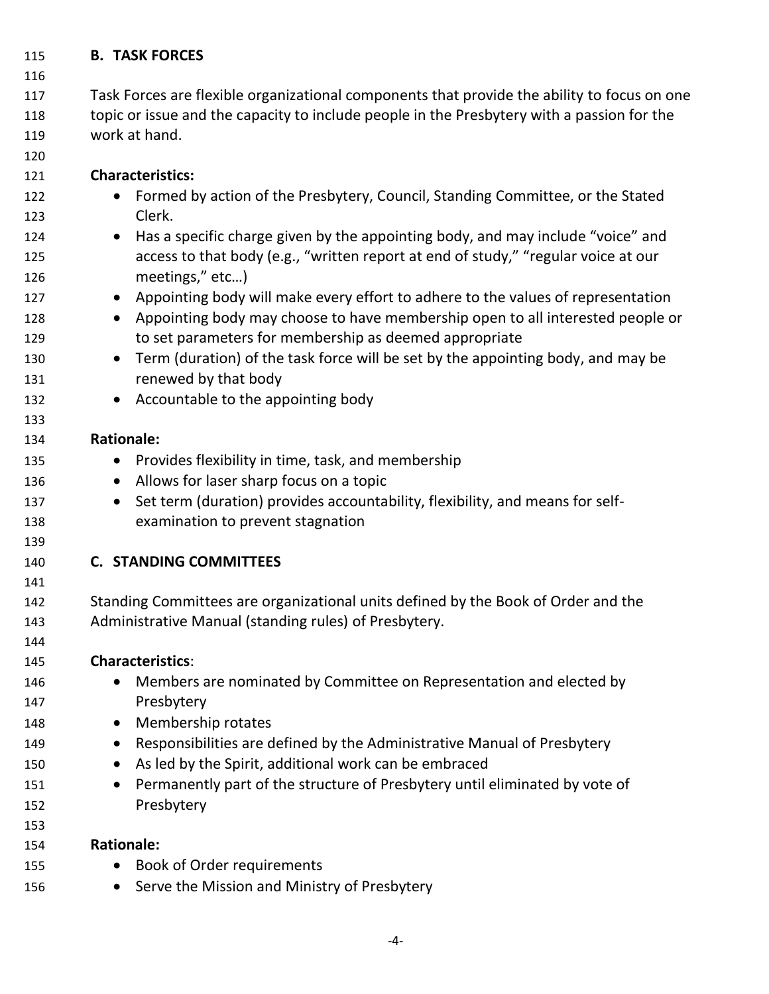## **B. TASK FORCES**

## Task Forces are flexible organizational components that provide the ability to focus on one topic or issue and the capacity to include people in the Presbytery with a passion for the work at hand.

## **Characteristics:**

- 122 Formed by action of the Presbytery, Council, Standing Committee, or the Stated Clerk.
- Has a specific charge given by the appointing body, and may include "voice" and access to that body (e.g., "written report at end of study," "regular voice at our meetings," etc…)
- 127 Appointing body will make every effort to adhere to the values of representation
- Appointing body may choose to have membership open to all interested people or to set parameters for membership as deemed appropriate
- 130 Term (duration) of the task force will be set by the appointing body, and may be **renewed by that body**
- 132 Accountable to the appointing body

#### **Rationale:**

- 135 Provides flexibility in time, task, and membership
- 136 Allows for laser sharp focus on a topic
- 137 Set term (duration) provides accountability, flexibility, and means for self-examination to prevent stagnation

## **C. STANDING COMMITTEES**

 Standing Committees are organizational units defined by the Book of Order and the Administrative Manual (standing rules) of Presbytery.

## **Characteristics**:

- 146 Members are nominated by Committee on Representation and elected by Presbytery
- 148 Membership rotates
- 149 Responsibilities are defined by the Administrative Manual of Presbytery
- 150 As led by the Spirit, additional work can be embraced
- 151 Permanently part of the structure of Presbytery until eliminated by vote of Presbytery

## **Rationale:**

- 155 Book of Order requirements
- 156 Serve the Mission and Ministry of Presbytery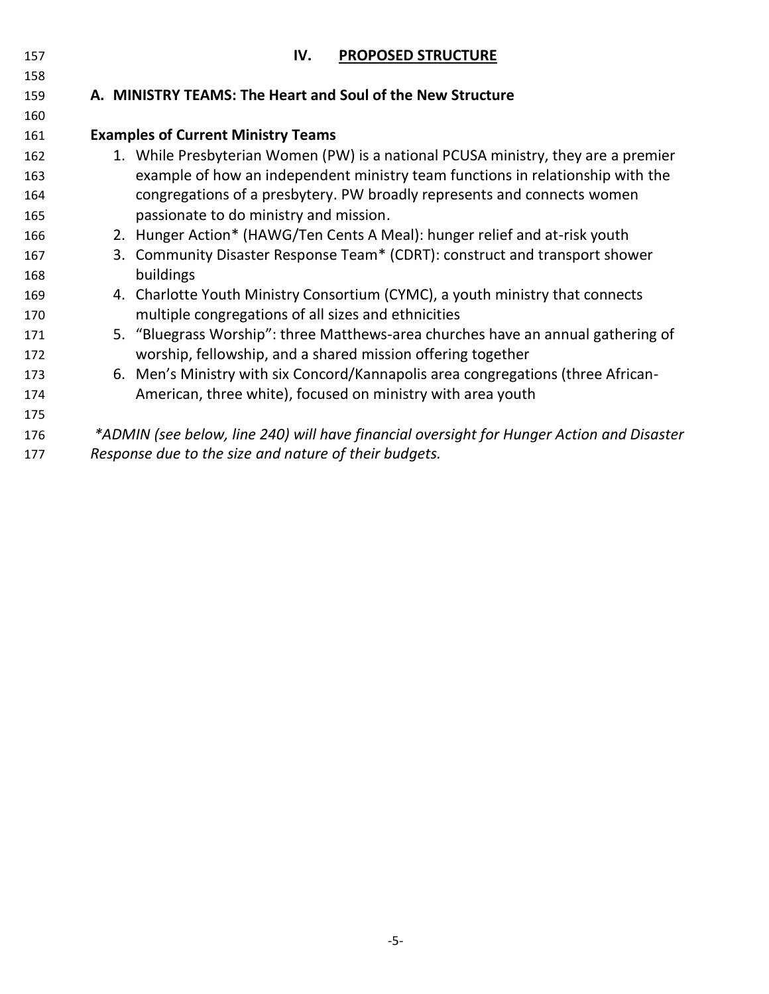| 157 | IV.<br><b>PROPOSED STRUCTURE</b>                                                          |
|-----|-------------------------------------------------------------------------------------------|
| 158 |                                                                                           |
| 159 | A. MINISTRY TEAMS: The Heart and Soul of the New Structure                                |
| 160 |                                                                                           |
| 161 | <b>Examples of Current Ministry Teams</b>                                                 |
| 162 | 1. While Presbyterian Women (PW) is a national PCUSA ministry, they are a premier         |
| 163 | example of how an independent ministry team functions in relationship with the            |
| 164 | congregations of a presbytery. PW broadly represents and connects women                   |
| 165 | passionate to do ministry and mission.                                                    |
| 166 | 2. Hunger Action* (HAWG/Ten Cents A Meal): hunger relief and at-risk youth                |
| 167 | 3. Community Disaster Response Team* (CDRT): construct and transport shower               |
| 168 | buildings                                                                                 |
| 169 | 4. Charlotte Youth Ministry Consortium (CYMC), a youth ministry that connects             |
| 170 | multiple congregations of all sizes and ethnicities                                       |
| 171 | 5. "Bluegrass Worship": three Matthews-area churches have an annual gathering of          |
| 172 | worship, fellowship, and a shared mission offering together                               |
| 173 | 6. Men's Ministry with six Concord/Kannapolis area congregations (three African-          |
| 174 | American, three white), focused on ministry with area youth                               |
| 175 |                                                                                           |
| 176 | *ADMIN (see below, line 240) will have financial oversight for Hunger Action and Disaster |
| 177 | Response due to the size and nature of their budgets.                                     |
|     |                                                                                           |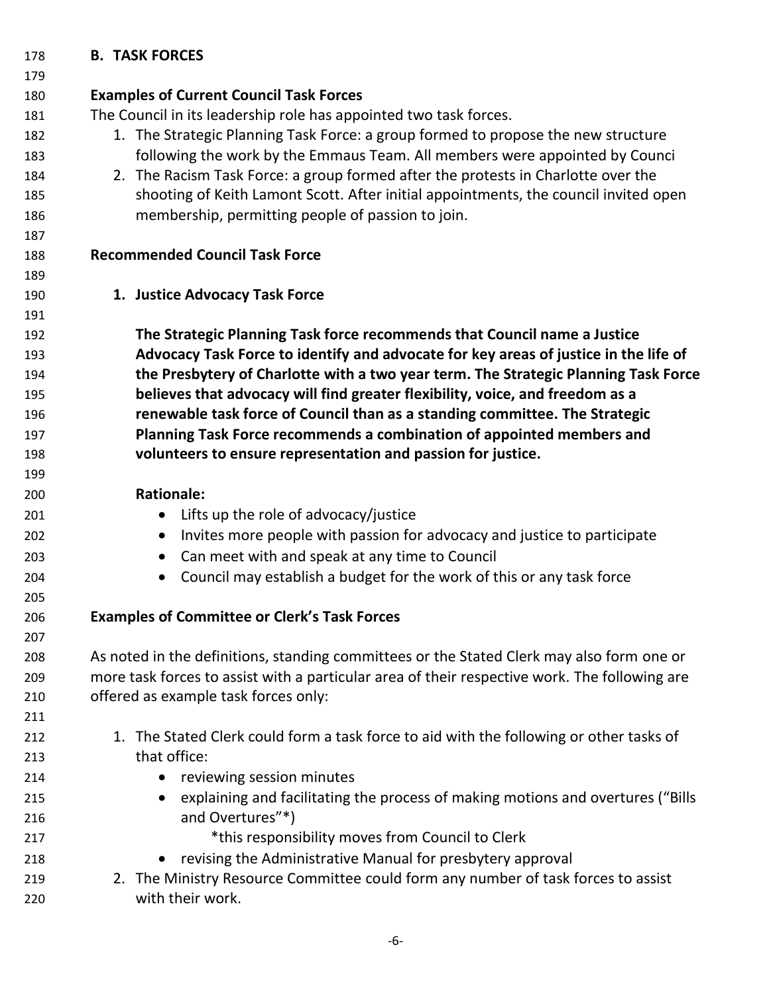## **B. TASK FORCES**

| 179 |                                                                                               |
|-----|-----------------------------------------------------------------------------------------------|
| 180 | <b>Examples of Current Council Task Forces</b>                                                |
| 181 | The Council in its leadership role has appointed two task forces.                             |
| 182 | 1. The Strategic Planning Task Force: a group formed to propose the new structure             |
| 183 | following the work by the Emmaus Team. All members were appointed by Counci                   |
| 184 | 2. The Racism Task Force: a group formed after the protests in Charlotte over the             |
| 185 | shooting of Keith Lamont Scott. After initial appointments, the council invited open          |
| 186 | membership, permitting people of passion to join.                                             |
| 187 |                                                                                               |
| 188 | <b>Recommended Council Task Force</b>                                                         |
| 189 |                                                                                               |
| 190 | 1. Justice Advocacy Task Force                                                                |
| 191 |                                                                                               |
| 192 | The Strategic Planning Task force recommends that Council name a Justice                      |
| 193 | Advocacy Task Force to identify and advocate for key areas of justice in the life of          |
| 194 | the Presbytery of Charlotte with a two year term. The Strategic Planning Task Force           |
| 195 | believes that advocacy will find greater flexibility, voice, and freedom as a                 |
| 196 | renewable task force of Council than as a standing committee. The Strategic                   |
| 197 | Planning Task Force recommends a combination of appointed members and                         |
| 198 | volunteers to ensure representation and passion for justice.                                  |
| 199 |                                                                                               |
| 200 | <b>Rationale:</b>                                                                             |
| 201 | Lifts up the role of advocacy/justice                                                         |
| 202 | Invites more people with passion for advocacy and justice to participate<br>$\bullet$         |
| 203 | Can meet with and speak at any time to Council<br>$\bullet$                                   |
| 204 | Council may establish a budget for the work of this or any task force                         |
| 205 |                                                                                               |
| 206 | <b>Examples of Committee or Clerk's Task Forces</b>                                           |
| 207 |                                                                                               |
| 208 | As noted in the definitions, standing committees or the Stated Clerk may also form one or     |
| 209 | more task forces to assist with a particular area of their respective work. The following are |
| 210 | offered as example task forces only:                                                          |
| 211 |                                                                                               |
| 212 | 1. The Stated Clerk could form a task force to aid with the following or other tasks of       |
| 213 | that office:                                                                                  |
| 214 | reviewing session minutes                                                                     |
| 215 | explaining and facilitating the process of making motions and overtures ("Bills               |
| 216 | and Overtures"*)                                                                              |
| 217 | *this responsibility moves from Council to Clerk                                              |
| 218 | revising the Administrative Manual for presbytery approval                                    |
| 219 | 2. The Ministry Resource Committee could form any number of task forces to assist             |
| 220 | with their work.                                                                              |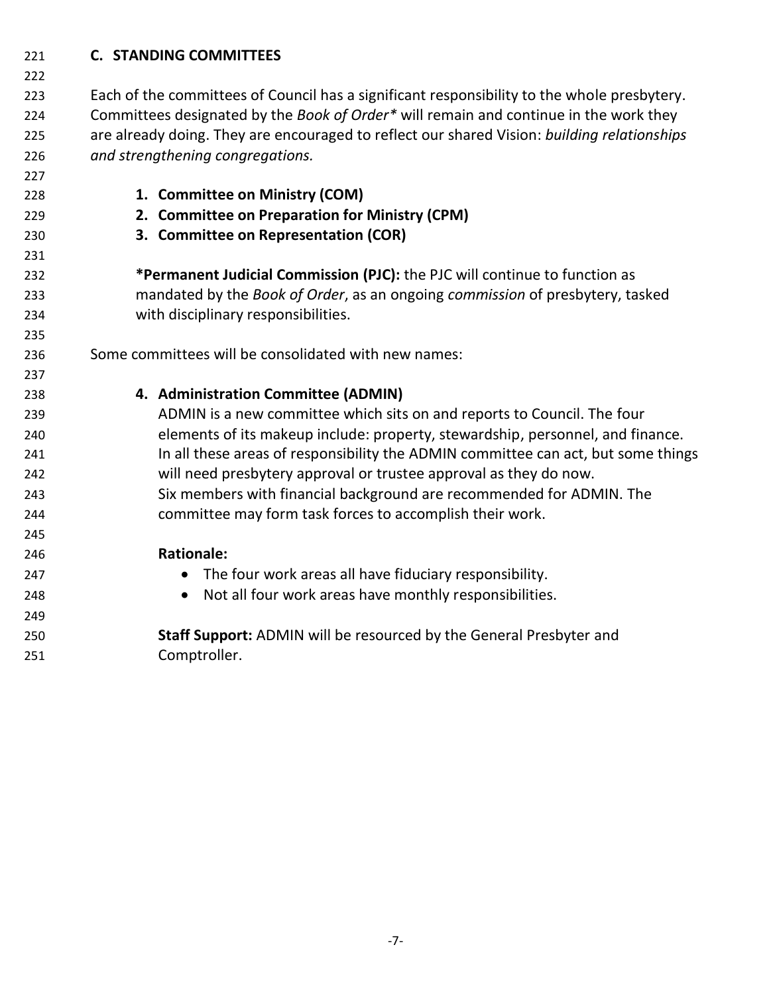## **C. STANDING COMMITTEES**

**1. Committee on Ministry (COM)**

 Each of the committees of Council has a significant responsibility to the whole presbytery. Committees designated by the *Book of Order\** will remain and continue in the work they are already doing. They are encouraged to reflect our shared Vision: *building relationships and strengthening congregations.*

- **2. Committee on Preparation for Ministry (CPM) 3. Committee on Representation (COR) \*Permanent Judicial Commission (PJC):** the PJC will continue to function as mandated by the *Book of Order*, as an ongoing *commission* of presbytery, tasked with disciplinary responsibilities. Some committees will be consolidated with new names:
- **4. Administration Committee (ADMIN)** ADMIN is a new committee which sits on and reports to Council. The four elements of its makeup include: property, stewardship, personnel, and finance. 241 In all these areas of responsibility the ADMIN committee can act, but some things will need presbytery approval or trustee approval as they do now. Six members with financial background are recommended for ADMIN. The committee may form task forces to accomplish their work. **Rationale:** The four work areas all have fiduciary responsibility. Not all four work areas have monthly responsibilities. **Staff Support:** ADMIN will be resourced by the General Presbyter and Comptroller.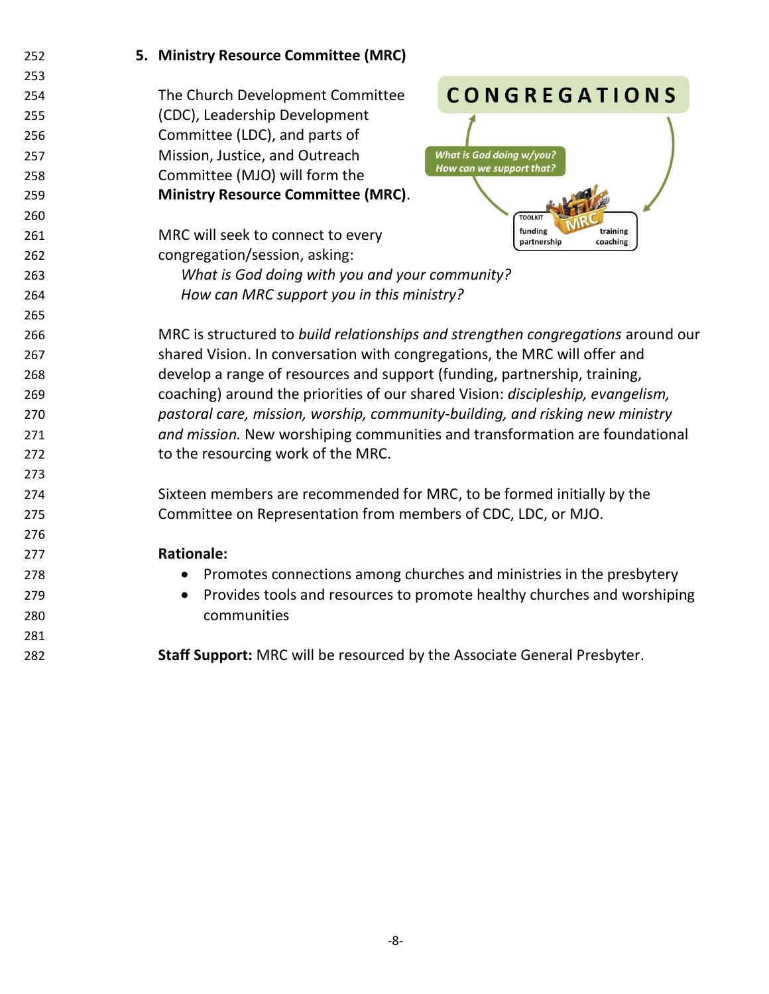| 252 | 5. Ministry Resource Committee (MRC)                                                 |
|-----|--------------------------------------------------------------------------------------|
| 253 |                                                                                      |
| 254 | <b>CONGREGATIONS</b><br>The Church Development Committee                             |
| 255 | (CDC), Leadership Development                                                        |
| 256 | Committee (LDC), and parts of                                                        |
| 257 | Mission, Justice, and Outreach<br><b>What is God doing w/you?</b>                    |
| 258 | How can we support that?<br>Committee (MJO) will form the                            |
| 259 | <b>Ministry Resource Committee (MRC).</b>                                            |
| 260 | <b>TOOLKIT</b>                                                                       |
| 261 | funding<br>training<br>MRC will seek to connect to every<br>partnership<br>coaching  |
| 262 | congregation/session, asking:                                                        |
| 263 | What is God doing with you and your community?                                       |
| 264 | How can MRC support you in this ministry?                                            |
| 265 |                                                                                      |
| 266 | MRC is structured to build relationships and strengthen congregations around our     |
| 267 | shared Vision. In conversation with congregations, the MRC will offer and            |
| 268 | develop a range of resources and support (funding, partnership, training,            |
| 269 | coaching) around the priorities of our shared Vision: discipleship, evangelism,      |
| 270 | pastoral care, mission, worship, community-building, and risking new ministry        |
| 271 | and mission. New worshiping communities and transformation are foundational          |
| 272 | to the resourcing work of the MRC.                                                   |
| 273 |                                                                                      |
| 274 | Sixteen members are recommended for MRC, to be formed initially by the               |
| 275 | Committee on Representation from members of CDC, LDC, or MJO.                        |
| 276 |                                                                                      |
| 277 | <b>Rationale:</b>                                                                    |
| 278 | Promotes connections among churches and ministries in the presbytery<br>$\bullet$    |
| 279 | Provides tools and resources to promote healthy churches and worshiping<br>$\bullet$ |
| 280 | communities                                                                          |
| 281 |                                                                                      |
| 282 | Staff Support: MRC will be resourced by the Associate General Presbyter.             |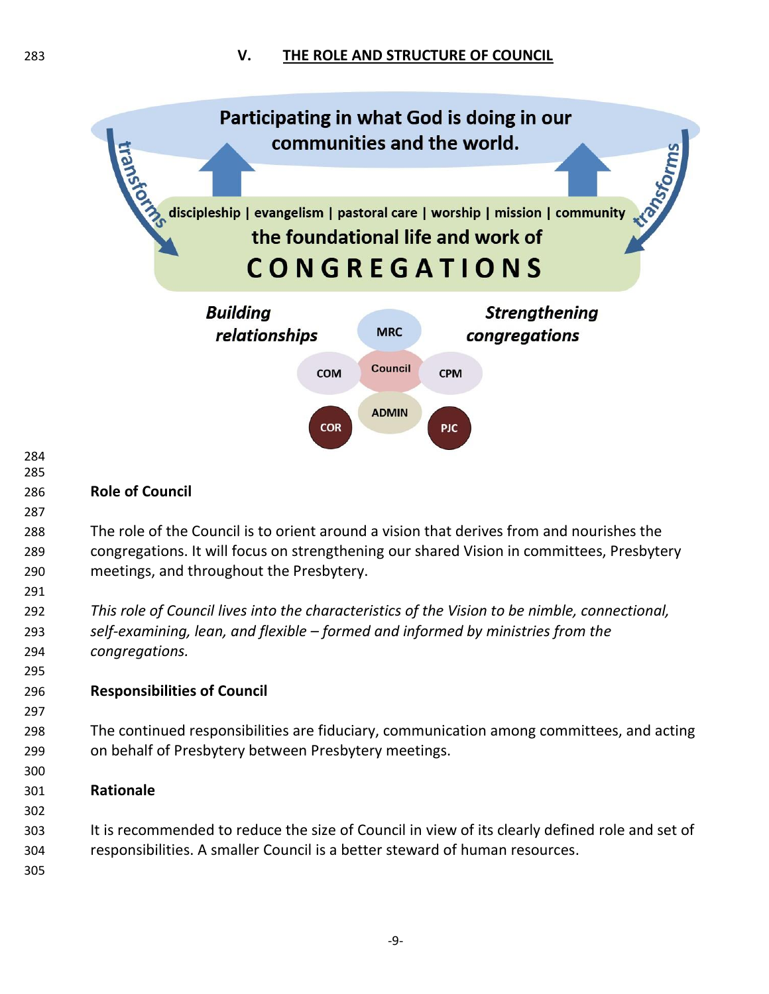

 *This role of Council lives into the characteristics of the Vision to be nimble, connectional, self-examining, lean, and flexible – formed and informed by ministries from the congregations.*

## **Responsibilities of Council**

 The continued responsibilities are fiduciary, communication among committees, and acting on behalf of Presbytery between Presbytery meetings.

## **Rationale**

- It is recommended to reduce the size of Council in view of its clearly defined role and set of responsibilities. A smaller Council is a better steward of human resources.
-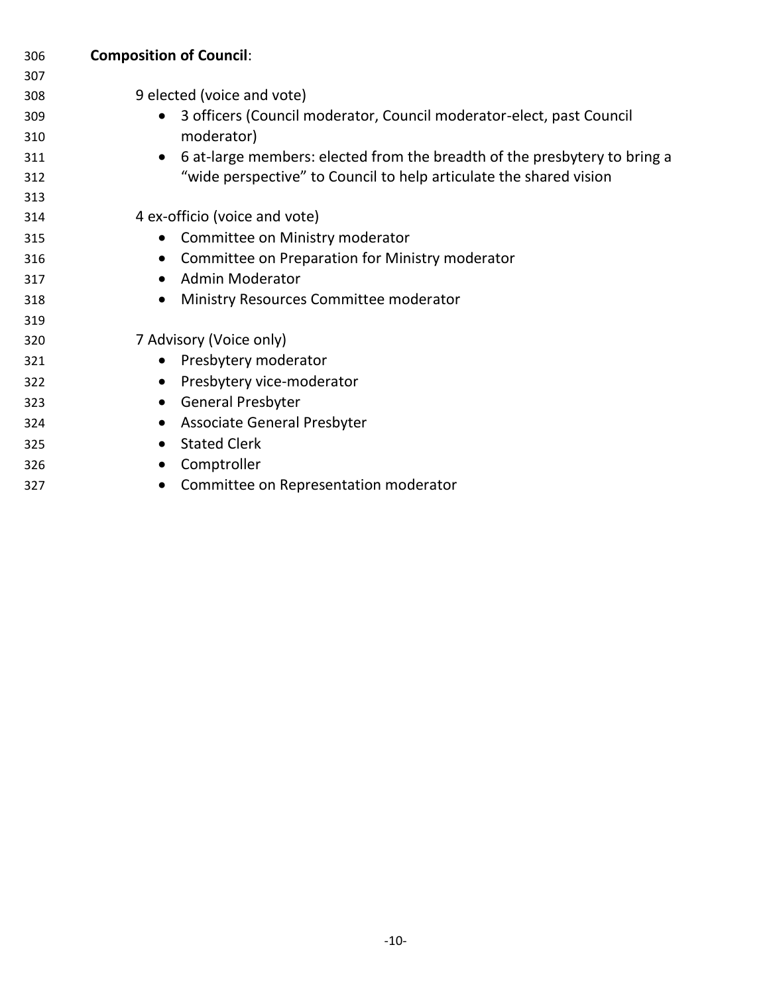| 306 | <b>Composition of Council:</b>                                                         |
|-----|----------------------------------------------------------------------------------------|
| 307 |                                                                                        |
| 308 | 9 elected (voice and vote)                                                             |
| 309 | 3 officers (Council moderator, Council moderator-elect, past Council                   |
| 310 | moderator)                                                                             |
| 311 | 6 at-large members: elected from the breadth of the presbytery to bring a<br>$\bullet$ |
| 312 | "wide perspective" to Council to help articulate the shared vision                     |
| 313 |                                                                                        |
| 314 | 4 ex-officio (voice and vote)                                                          |
| 315 | Committee on Ministry moderator<br>$\bullet$                                           |
| 316 | Committee on Preparation for Ministry moderator<br>$\bullet$                           |
| 317 | <b>Admin Moderator</b><br>$\bullet$                                                    |
| 318 | Ministry Resources Committee moderator<br>$\bullet$                                    |
| 319 |                                                                                        |
| 320 | 7 Advisory (Voice only)                                                                |
| 321 | Presbytery moderator<br>$\bullet$                                                      |
| 322 | Presbytery vice-moderator<br>$\bullet$                                                 |
| 323 | <b>General Presbyter</b><br>$\bullet$                                                  |
| 324 | <b>Associate General Presbyter</b><br>$\bullet$                                        |
| 325 | <b>Stated Clerk</b><br>$\bullet$                                                       |
| 326 | Comptroller<br>$\bullet$                                                               |
| 327 | Committee on Representation moderator                                                  |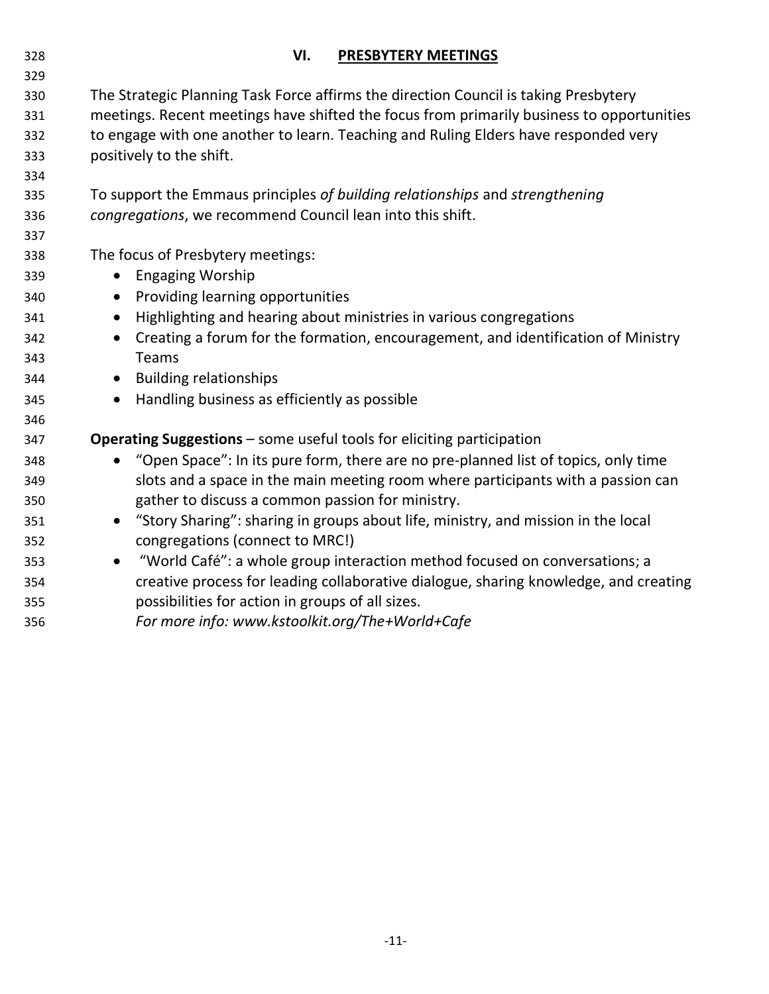| 328 | VI.<br><b>PRESBYTERY MEETINGS</b>                                                              |
|-----|------------------------------------------------------------------------------------------------|
| 329 |                                                                                                |
| 330 | The Strategic Planning Task Force affirms the direction Council is taking Presbytery           |
| 331 | meetings. Recent meetings have shifted the focus from primarily business to opportunities      |
| 332 | to engage with one another to learn. Teaching and Ruling Elders have responded very            |
| 333 | positively to the shift.                                                                       |
| 334 |                                                                                                |
| 335 | To support the Emmaus principles of building relationships and strengthening                   |
| 336 | congregations, we recommend Council lean into this shift.                                      |
| 337 |                                                                                                |
| 338 | The focus of Presbytery meetings:                                                              |
| 339 | <b>Engaging Worship</b><br>$\bullet$                                                           |
| 340 | Providing learning opportunities<br>$\bullet$                                                  |
| 341 | Highlighting and hearing about ministries in various congregations<br>$\bullet$                |
| 342 | Creating a forum for the formation, encouragement, and identification of Ministry<br>$\bullet$ |
| 343 | Teams                                                                                          |
| 344 | <b>Building relationships</b><br>$\bullet$                                                     |
| 345 | Handling business as efficiently as possible<br>$\bullet$                                      |
| 346 |                                                                                                |
| 347 | <b>Operating Suggestions</b> - some useful tools for eliciting participation                   |
| 348 | "Open Space": In its pure form, there are no pre-planned list of topics, only time             |
| 349 | slots and a space in the main meeting room where participants with a passion can               |
| 350 | gather to discuss a common passion for ministry.                                               |
| 351 | • "Story Sharing": sharing in groups about life, ministry, and mission in the local            |
| 352 | congregations (connect to MRC!)                                                                |
| 353 | "World Café": a whole group interaction method focused on conversations; a<br>$\bullet$        |
| 354 | creative process for leading collaborative dialogue, sharing knowledge, and creating           |
| 355 | possibilities for action in groups of all sizes.                                               |
| 356 | For more info: www.kstoolkit.org/The+World+Cafe                                                |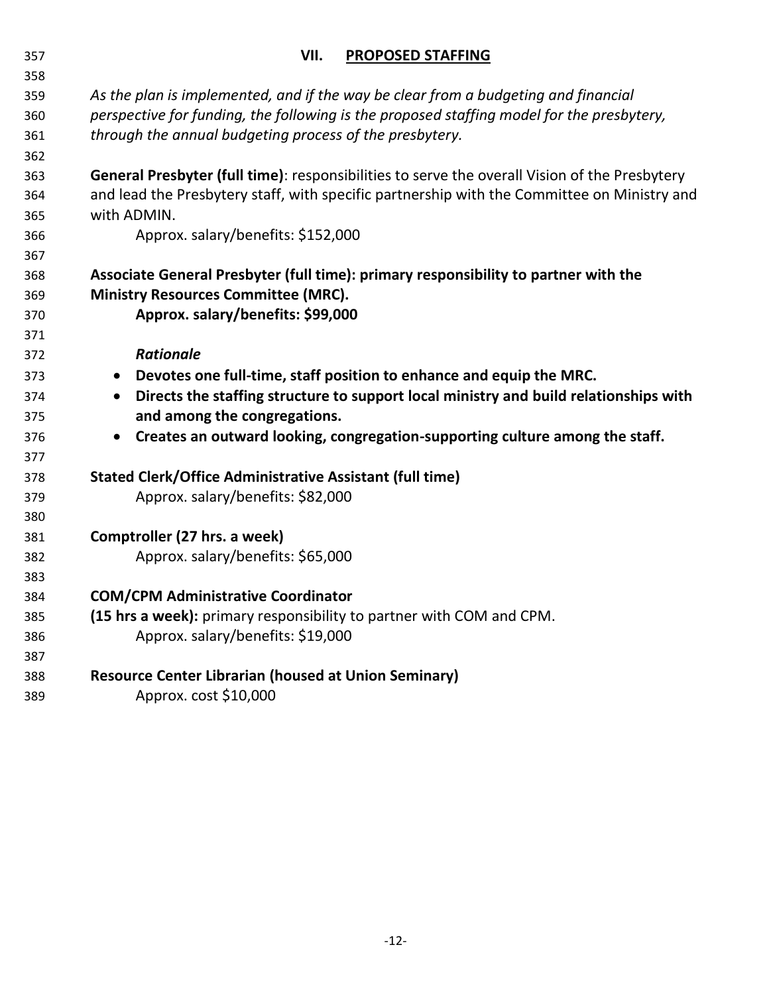| 358 |                                                                                                    |
|-----|----------------------------------------------------------------------------------------------------|
| 359 | As the plan is implemented, and if the way be clear from a budgeting and financial                 |
| 360 | perspective for funding, the following is the proposed staffing model for the presbytery,          |
| 361 | through the annual budgeting process of the presbytery.                                            |
| 362 |                                                                                                    |
| 363 | General Presbyter (full time): responsibilities to serve the overall Vision of the Presbytery      |
| 364 | and lead the Presbytery staff, with specific partnership with the Committee on Ministry and        |
| 365 | with ADMIN.                                                                                        |
| 366 | Approx. salary/benefits: \$152,000                                                                 |
| 367 |                                                                                                    |
| 368 | Associate General Presbyter (full time): primary responsibility to partner with the                |
| 369 | <b>Ministry Resources Committee (MRC).</b>                                                         |
| 370 | Approx. salary/benefits: \$99,000                                                                  |
| 371 |                                                                                                    |
| 372 | <b>Rationale</b>                                                                                   |
| 373 | Devotes one full-time, staff position to enhance and equip the MRC.<br>$\bullet$                   |
| 374 | Directs the staffing structure to support local ministry and build relationships with<br>$\bullet$ |
| 375 | and among the congregations.                                                                       |
| 376 | Creates an outward looking, congregation-supporting culture among the staff.<br>$\bullet$          |
| 377 |                                                                                                    |
| 378 | Stated Clerk/Office Administrative Assistant (full time)                                           |
| 379 | Approx. salary/benefits: \$82,000                                                                  |
| 380 |                                                                                                    |
| 381 | Comptroller (27 hrs. a week)                                                                       |
| 382 | Approx. salary/benefits: \$65,000                                                                  |
| 383 |                                                                                                    |
| 384 | <b>COM/CPM Administrative Coordinator</b>                                                          |
| 385 | (15 hrs a week): primary responsibility to partner with COM and CPM.                               |
| 386 | Approx. salary/benefits: \$19,000                                                                  |
| 387 |                                                                                                    |
| 388 | <b>Resource Center Librarian (housed at Union Seminary)</b>                                        |
| 389 | Approx. cost \$10,000                                                                              |

# **VII. PROPOSED STAFFING**